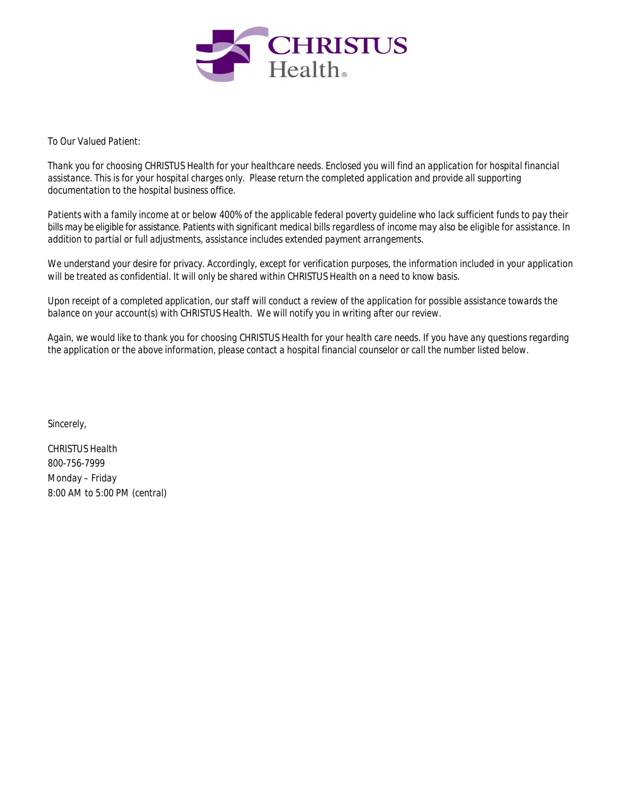

*To Our Valued Patient:*

*Thank you for choosing CHRISTUS Health for your healthcare needs. Enclosed you will find an application for hospital financial assistance. This is for your hospital charges only. Please return the completed application and provide all supporting documentation to the hospital business office.*

*Patients with a family income at or below 400% of the applicable federal poverty guideline who lack sufficient funds to pay their bills may be eligible for assistance. Patients with significant medical bills regardless of income may also be eligible for assistance. In addition to partial or full adjustments, assistance includes extended payment arrangements.*

*We understand your desire for privacy. Accordingly, except for verification purposes, the information included in your application will be treated as confidential. It will only be shared within CHRISTUS Health on a need to know basis.*

*Upon receipt of a completed application, our staff will conduct a review of the application for possible assistance towards the balance on your account(s) with CHRISTUS Health. We will notify you in writing after our review.*

*Again, we would like to thank you for choosing CHRISTUS Health for your health care needs. If you have any questions regarding the application or the above information, please contact a hospital financial counselor or call the number listed below.*

*Sincerely,*

*CHRISTUS Health 800-756-7999 Monday – Friday 8:00 AM to 5:00 PM (central)*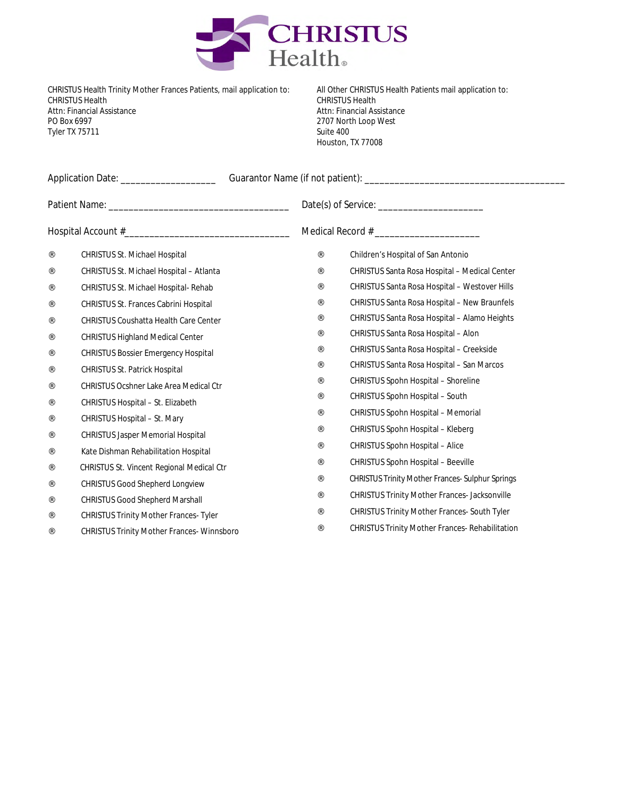

CHRISTUS Health Trinity Mother Frances Patients, mail application to: CHRISTUS Health Attn: Financial Assistance PO Box 6997 Tyler TX 75711

All Other CHRISTUS Health Patients mail application to: CHRISTUS Health Attn: Financial Assistance 2707 North Loop West Suite 400 Houston, TX 77008

|           | <b>CHRISTUS St. Michael Hospital</b>             | <b>Children's Hospital of San Antonio</b>               |  |  |  |
|-----------|--------------------------------------------------|---------------------------------------------------------|--|--|--|
| $\cdot$ . | <b>CHRISTUS St. Michael Hospital - Atlanta</b>   | <b>CHRISTUS Santa Rosa Hospital - Medical Center</b>    |  |  |  |
| $\ldots$  | <b>CHRISTUS St. Michael Hospital- Rehab</b>      | <b>CHRISTUS Santa Rosa Hospital - Westover Hills</b>    |  |  |  |
| $\cdot$   | <b>CHRISTUS St. Frances Cabrini Hospital</b>     | <b>CHRISTUS Santa Rosa Hospital - New Braunfels</b>     |  |  |  |
| $\ldots$  | <b>CHRISTUS Coushatta Health Care Center</b>     | <b>CHRISTUS Santa Rosa Hospital - Alamo Heights</b>     |  |  |  |
| $\cdot$   | <b>CHRISTUS Highland Medical Center</b>          | <b>CHRISTUS Santa Rosa Hospital - Alon</b>              |  |  |  |
| $\cdot$ . | <b>CHRISTUS Bossier Emergency Hospital</b>       | <b>CHRISTUS Santa Rosa Hospital - Creekside</b>         |  |  |  |
| $\cdot$ . | <b>CHRISTUS St. Patrick Hospital</b>             | <b>CHRISTUS Santa Rosa Hospital - San Marcos</b>        |  |  |  |
| $\ldots$  | <b>CHRISTUS Ocshner Lake Area Medical Ctr</b>    | <b>CHRISTUS Spohn Hospital - Shoreline</b>              |  |  |  |
| $\ldots$  | <b>CHRISTUS Hospital - St. Elizabeth</b>         | <b>CHRISTUS Spohn Hospital - South</b>                  |  |  |  |
| $\cdot$ . | <b>CHRISTUS Hospital - St. Mary</b>              | <b>CHRISTUS Spohn Hospital - Memorial</b>               |  |  |  |
| $\ldots$  | <b>CHRISTUS Jasper Memorial Hospital</b>         | <b>CHRISTUS Spohn Hospital - Kleberg</b>                |  |  |  |
| $\cdot$ . | Kate Dishman Rehabilitation Hospital             | <b>CHRISTUS Spohn Hospital - Alice</b>                  |  |  |  |
| $\cdot$   | <b>CHRISTUS St. Vincent Regional Medical Ctr</b> | <b>CHRISTUS Spohn Hospital - Beeville</b>               |  |  |  |
| $\cdot$   | <b>CHRISTUS Good Shepherd Longview</b>           | <b>CHRISTUS Trinity Mother Frances- Sulphur Springs</b> |  |  |  |
| $\ldots$  | <b>CHRISTUS Good Shepherd Marshall</b>           | <b>CHRISTUS Trinity Mother Frances- Jacksonville</b>    |  |  |  |
| $\cdot$ . | <b>CHRISTUS Trinity Mother Frances-Tyler</b>     | <b>CHRISTUS Trinity Mother Frances- South Tyler</b>     |  |  |  |
|           | <b>CHRISTUS Trinity Mother Frances-Winnsboro</b> | <b>CHRISTUS Trinity Mother Frances- Rehabilitation</b>  |  |  |  |